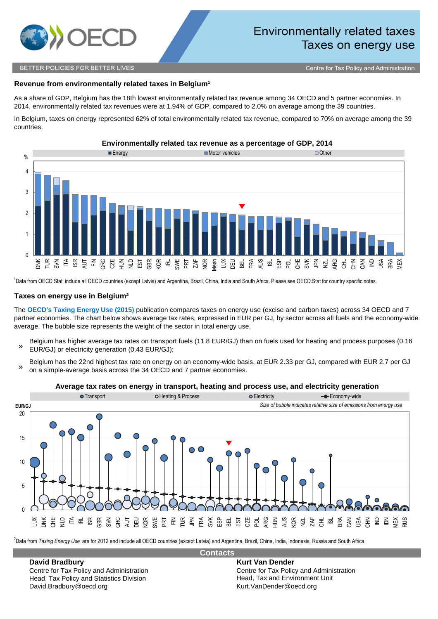

## BETTER POLICIES FOR BETTER LIVES

# BEL BELCountrySheet environmentally-related-taxes-Belgium **Revenue from environmentally related taxes in Belgium<sup>1</sup>**

As a share of GDP, Belgium has the 18th lowest environmentally related tax revenue among 34 OECD and 5 partner economies. In 2014, environmentally related tax revenues were at 1.94% of GDP, compared to 2.0% on average among the 39 countries.

In Belgium, taxes on energy represented 62% of total environmentally related tax revenue, compared to 70% on average among the 39 countries.



<sup>1</sup>Data from OECD.Stat include all OECD countries (except Latvia) and Argentina, Brazil, China, India and South Africa. Please see OECD.Stat for country specific notes.

## **Taxes on energy use in Belgium²**

The **OECD's Taxing Energy Use (2015)** publication compares taxes on energy use (excise and carbon taxes) across 34 OECD and 7 partner economies. The chart below shows average tax rates, expressed in EUR per GJ, by sector across all fuels and the economy-wide average. The bubble size represents the weight of the sector in total energy use.

- » Belgium has higher average tax rates on transport fuels (11.8 EUR/GJ) than on fuels used for heating and process purposes (0.16 EUR/GJ) or electricity generation (0.43 EUR/GJ);
- » Belgium has the 22nd highest tax rate on energy on an economy-wide basis, at EUR 2.33 per GJ, compared with EUR 2.7 per GJ on a simple-average basis across the 34 OECD and 7 partner economies.

#### **Average tax rates on energy in transport, heating and process use, and electricity generation**



2 Data from *Taxing Energy Use* are for 2012 and include all OECD countries (except Latvia) and Argentina, Brazil, China, India, Indonesia, Russia and South Africa.

**Contacts**

## **David Bradbury Kurt Van Dender**

Head, Tax Policy and Statistics Division David.Bradbury@oecd.org Kurt.VanDender@oecd.org

Centre for Tax Policy and Administration<br>
Head, Tax Policy and Statistics Division<br>
Head, Tax and Environment Unit

## **Environmentally related tax revenue as a percentage of GDP, 2014**